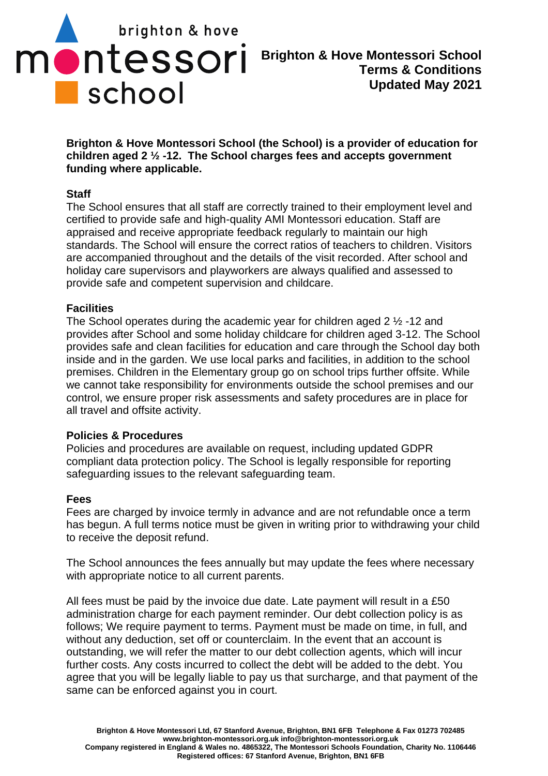

**Brighton & Hove Montessori School (the School) is a provider of education for children aged 2 ½ -12. The School charges fees and accepts government funding where applicable.** 

#### **Staff**

The School ensures that all staff are correctly trained to their employment level and certified to provide safe and high-quality AMI Montessori education. Staff are appraised and receive appropriate feedback regularly to maintain our high standards. The School will ensure the correct ratios of teachers to children. Visitors are accompanied throughout and the details of the visit recorded. After school and holiday care supervisors and playworkers are always qualified and assessed to provide safe and competent supervision and childcare.

## **Facilities**

The School operates during the academic year for children aged 2 ½ -12 and provides after School and some holiday childcare for children aged 3-12. The School provides safe and clean facilities for education and care through the School day both inside and in the garden. We use local parks and facilities, in addition to the school premises. Children in the Elementary group go on school trips further offsite. While we cannot take responsibility for environments outside the school premises and our control, we ensure proper risk assessments and safety procedures are in place for all travel and offsite activity.

#### **Policies & Procedures**

Policies and procedures are available on request, including updated GDPR compliant data protection policy. The School is legally responsible for reporting safeguarding issues to the relevant safeguarding team.

#### **Fees**

Fees are charged by invoice termly in advance and are not refundable once a term has begun. A full terms notice must be given in writing prior to withdrawing your child to receive the deposit refund.

The School announces the fees annually but may update the fees where necessary with appropriate notice to all current parents.

All fees must be paid by the invoice due date. Late payment will result in a £50 administration charge for each payment reminder. Our debt collection policy is as follows; We require payment to terms. Payment must be made on time, in full, and without any deduction, set off or counterclaim. In the event that an account is outstanding, we will refer the matter to our debt collection agents, which will incur further costs. Any costs incurred to collect the debt will be added to the debt. You agree that you will be legally liable to pay us that surcharge, and that payment of the same can be enforced against you in court.